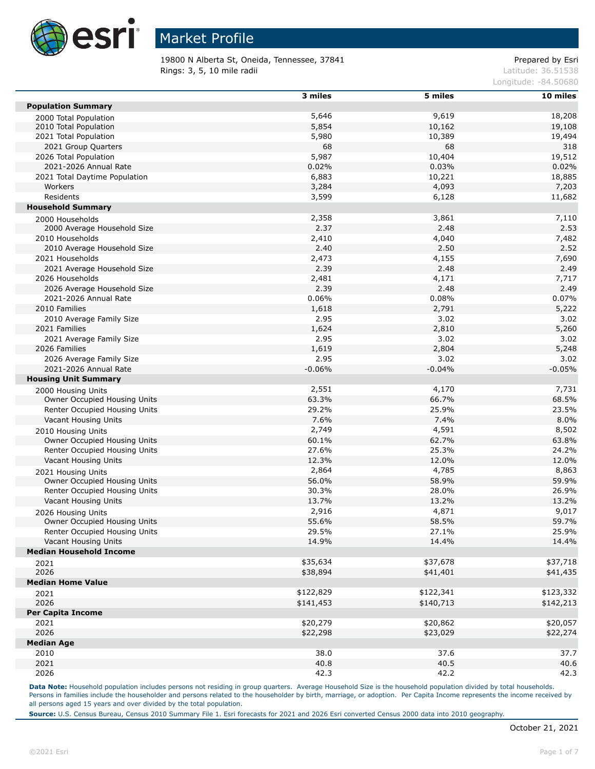

19800 N Alberta St, Oneida, Tennessee, 37841 Prepared by Esri **Rings: 3, 5, 10 mile radii** Latitude: 36.51538

Longitude: -84.50680

|                                                    | 3 miles   | 5 miles   | 10 miles  |
|----------------------------------------------------|-----------|-----------|-----------|
| <b>Population Summary</b>                          |           |           |           |
| 2000 Total Population                              | 5,646     | 9,619     | 18,208    |
| 2010 Total Population                              | 5,854     | 10,162    | 19,108    |
| 2021 Total Population                              | 5,980     | 10,389    | 19,494    |
| 2021 Group Quarters                                | 68        | 68        | 318       |
| 2026 Total Population                              | 5,987     | 10,404    | 19,512    |
| 2021-2026 Annual Rate                              | 0.02%     | 0.03%     | 0.02%     |
| 2021 Total Daytime Population                      | 6,883     | 10,221    | 18,885    |
| Workers                                            | 3,284     | 4,093     | 7,203     |
| Residents                                          | 3,599     | 6,128     | 11,682    |
| <b>Household Summary</b>                           |           |           |           |
| 2000 Households                                    | 2,358     | 3,861     | 7,110     |
| 2000 Average Household Size                        | 2.37      | 2.48      | 2.53      |
| 2010 Households                                    | 2,410     | 4,040     | 7,482     |
| 2010 Average Household Size                        | 2.40      | 2.50      | 2.52      |
| 2021 Households                                    | 2,473     | 4,155     | 7,690     |
| 2021 Average Household Size                        | 2.39      | 2.48      | 2.49      |
| 2026 Households                                    | 2,481     | 4,171     | 7,717     |
| 2026 Average Household Size                        | 2.39      | 2.48      | 2.49      |
| 2021-2026 Annual Rate                              | 0.06%     | 0.08%     | 0.07%     |
| 2010 Families                                      | 1,618     | 2,791     | 5,222     |
| 2010 Average Family Size                           | 2.95      | 3.02      | 3.02      |
| 2021 Families                                      | 1,624     | 2,810     | 5,260     |
| 2021 Average Family Size                           | 2.95      | 3.02      | 3.02      |
| 2026 Families                                      | 1,619     | 2,804     | 5,248     |
| 2026 Average Family Size                           | 2.95      | 3.02      | 3.02      |
| 2021-2026 Annual Rate                              | $-0.06%$  | $-0.04%$  | $-0.05%$  |
| <b>Housing Unit Summary</b>                        |           |           |           |
|                                                    | 2,551     | 4,170     | 7,731     |
| 2000 Housing Units<br>Owner Occupied Housing Units | 63.3%     | 66.7%     | 68.5%     |
| Renter Occupied Housing Units                      | 29.2%     | 25.9%     | 23.5%     |
| Vacant Housing Units                               | 7.6%      | 7.4%      | 8.0%      |
|                                                    |           |           |           |
| 2010 Housing Units                                 | 2,749     | 4,591     | 8,502     |
| Owner Occupied Housing Units                       | 60.1%     | 62.7%     | 63.8%     |
| Renter Occupied Housing Units                      | 27.6%     | 25.3%     | 24.2%     |
| Vacant Housing Units                               | 12.3%     | 12.0%     | 12.0%     |
| 2021 Housing Units                                 | 2,864     | 4,785     | 8,863     |
| Owner Occupied Housing Units                       | 56.0%     | 58.9%     | 59.9%     |
| Renter Occupied Housing Units                      | 30.3%     | 28.0%     | 26.9%     |
| Vacant Housing Units                               | 13.7%     | 13.2%     | 13.2%     |
| 2026 Housing Units                                 | 2,916     | 4,871     | 9,017     |
| Owner Occupied Housing Units                       | 55.6%     | 58.5%     | 59.7%     |
| Renter Occupied Housing Units                      | 29.5%     | 27.1%     | 25.9%     |
| Vacant Housing Units                               | 14.9%     | 14.4%     | 14.4%     |
| <b>Median Household Income</b>                     |           |           |           |
| 2021                                               | \$35,634  | \$37,678  | \$37,718  |
| 2026                                               | \$38,894  | \$41,401  | \$41,435  |
| <b>Median Home Value</b>                           |           |           |           |
| 2021                                               | \$122,829 | \$122,341 | \$123,332 |
| 2026                                               | \$141,453 | \$140,713 | \$142,213 |
| <b>Per Capita Income</b>                           |           |           |           |
| 2021                                               | \$20,279  | \$20,862  | \$20,057  |
| 2026                                               | \$22,298  | \$23,029  | \$22,274  |
| <b>Median Age</b>                                  |           |           |           |
| 2010                                               | 38.0      | 37.6      | 37.7      |
| 2021                                               | 40.8      | 40.5      | 40.6      |
| 2026                                               | 42.3      | 42.2      | 42.3      |

Data Note: Household population includes persons not residing in group quarters. Average Household Size is the household population divided by total households. Persons in families include the householder and persons related to the householder by birth, marriage, or adoption. Per Capita Income represents the income received by all persons aged 15 years and over divided by the total population.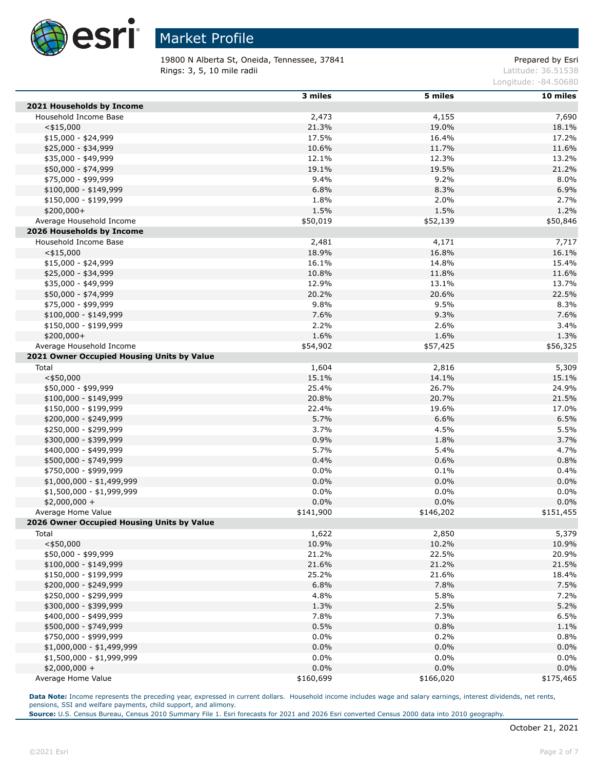

19800 N Alberta St, Oneida, Tennessee, 37841 Prepared by Esri **Rings: 3, 5, 10 mile radii** Latitude: 36.51538

Longitude: -84.50680

|                                            | 3 miles   | 5 miles   | 10 miles  |
|--------------------------------------------|-----------|-----------|-----------|
| 2021 Households by Income                  |           |           |           |
| Household Income Base                      | 2,473     | 4,155     | 7,690     |
| $<$ \$15,000                               | 21.3%     | 19.0%     | 18.1%     |
| \$15,000 - \$24,999                        | 17.5%     | 16.4%     | 17.2%     |
| \$25,000 - \$34,999                        | 10.6%     | 11.7%     | 11.6%     |
| \$35,000 - \$49,999                        | 12.1%     | 12.3%     | 13.2%     |
| \$50,000 - \$74,999                        | 19.1%     | 19.5%     | 21.2%     |
| \$75,000 - \$99,999                        | 9.4%      | 9.2%      | 8.0%      |
| $$100,000 - $149,999$                      | 6.8%      | 8.3%      | 6.9%      |
| \$150,000 - \$199,999                      | 1.8%      | 2.0%      | 2.7%      |
| \$200,000+                                 | 1.5%      | 1.5%      | 1.2%      |
| Average Household Income                   | \$50,019  | \$52,139  | \$50,846  |
| 2026 Households by Income                  |           |           |           |
| Household Income Base                      | 2,481     | 4,171     | 7,717     |
| $<$ \$15,000                               | 18.9%     | 16.8%     | 16.1%     |
| $$15,000 - $24,999$                        | 16.1%     | 14.8%     | 15.4%     |
| \$25,000 - \$34,999                        | 10.8%     | 11.8%     | 11.6%     |
| \$35,000 - \$49,999                        | 12.9%     | 13.1%     | 13.7%     |
| \$50,000 - \$74,999                        | 20.2%     | 20.6%     | 22.5%     |
| \$75,000 - \$99,999                        | 9.8%      | 9.5%      | 8.3%      |
| $$100,000 - $149,999$                      | 7.6%      | 9.3%      | 7.6%      |
| \$150,000 - \$199,999                      | 2.2%      | 2.6%      | 3.4%      |
| \$200,000+                                 | 1.6%      | 1.6%      | 1.3%      |
| Average Household Income                   | \$54,902  | \$57,425  | \$56,325  |
| 2021 Owner Occupied Housing Units by Value |           |           |           |
| Total                                      | 1,604     | 2,816     | 5,309     |
| $<$ \$50,000                               | 15.1%     | 14.1%     | 15.1%     |
| \$50,000 - \$99,999                        | 25.4%     | 26.7%     | 24.9%     |
| $$100,000 - $149,999$                      | 20.8%     | 20.7%     | 21.5%     |
| \$150,000 - \$199,999                      | 22.4%     | 19.6%     | 17.0%     |
| \$200,000 - \$249,999                      | 5.7%      | 6.6%      | 6.5%      |
| \$250,000 - \$299,999                      | 3.7%      | 4.5%      | 5.5%      |
| \$300,000 - \$399,999                      | 0.9%      | 1.8%      | 3.7%      |
| \$400,000 - \$499,999                      | 5.7%      | 5.4%      | 4.7%      |
| \$500,000 - \$749,999                      | 0.4%      | 0.6%      | 0.8%      |
| \$750,000 - \$999,999                      | 0.0%      | 0.1%      | 0.4%      |
| $$1,000,000 - $1,499,999$                  | 0.0%      | 0.0%      | 0.0%      |
| \$1,500,000 - \$1,999,999                  | 0.0%      | $0.0\%$   | 0.0%      |
| $$2,000,000 +$                             | 0.0%      | 0.0%      | 0.0%      |
| Average Home Value                         | \$141,900 | \$146,202 | \$151,455 |
| 2026 Owner Occupied Housing Units by Value |           |           |           |
| Total                                      | 1,622     | 2,850     | 5,379     |
| $<$ \$50,000                               | 10.9%     | 10.2%     | 10.9%     |
| \$50,000 - \$99,999                        | 21.2%     | 22.5%     | 20.9%     |
| \$100,000 - \$149,999                      | 21.6%     | 21.2%     | 21.5%     |
| \$150,000 - \$199,999                      | 25.2%     | 21.6%     | 18.4%     |
| \$200,000 - \$249,999                      | 6.8%      | 7.8%      | 7.5%      |
| \$250,000 - \$299,999                      | 4.8%      | 5.8%      | 7.2%      |
| \$300,000 - \$399,999                      | 1.3%      | 2.5%      | 5.2%      |
| \$400,000 - \$499,999                      | 7.8%      | 7.3%      | 6.5%      |
| \$500,000 - \$749,999                      | 0.5%      | 0.8%      | 1.1%      |
| \$750,000 - \$999,999                      | $0.0\%$   | 0.2%      | 0.8%      |
| \$1,000,000 - \$1,499,999                  | 0.0%      | 0.0%      | 0.0%      |
| \$1,500,000 - \$1,999,999                  | $0.0\%$   | $0.0\%$   | 0.0%      |
| $$2,000,000 +$                             | 0.0%      | 0.0%      | 0.0%      |
| Average Home Value                         | \$160,699 | \$166,020 | \$175,465 |

Data Note: Income represents the preceding year, expressed in current dollars. Household income includes wage and salary earnings, interest dividends, net rents, pensions, SSI and welfare payments, child support, and alimony.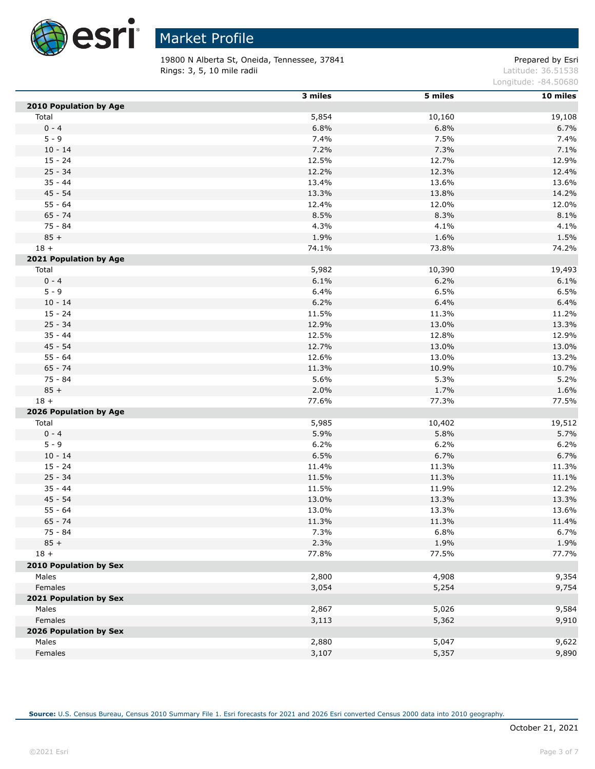

 $\overline{a}$ 

# Market Profile

19800 N Alberta St, Oneida, Tennessee, 37841 **Prepared by Estimate Stepsier** Prepared by Esri **Rings: 3, 5, 10 mile radii** Latitude: 36.51538

Longitude: -84.50680

|                        | 3 miles | 5 miles | 10 miles |
|------------------------|---------|---------|----------|
| 2010 Population by Age |         |         |          |
| Total                  | 5,854   | 10,160  | 19,108   |
| $0 - 4$                | 6.8%    | 6.8%    | 6.7%     |
| $5 - 9$                | 7.4%    | 7.5%    | 7.4%     |
| $10 - 14$              | 7.2%    | 7.3%    | 7.1%     |
| $15 - 24$              | 12.5%   | 12.7%   | 12.9%    |
| $25 - 34$              | 12.2%   | 12.3%   | 12.4%    |
| $35 - 44$              | 13.4%   | 13.6%   | 13.6%    |
| $45 - 54$              | 13.3%   | 13.8%   | 14.2%    |
| $55 - 64$              | 12.4%   | 12.0%   | 12.0%    |
| $65 - 74$              | 8.5%    | 8.3%    | 8.1%     |
| $75 - 84$              | 4.3%    | 4.1%    | 4.1%     |
| $85 +$                 | 1.9%    | 1.6%    | 1.5%     |
| $18 +$                 | 74.1%   | 73.8%   | 74.2%    |
| 2021 Population by Age |         |         |          |
| Total                  | 5,982   | 10,390  | 19,493   |
| $0 - 4$                | 6.1%    | 6.2%    | 6.1%     |
| $5 - 9$                | 6.4%    | 6.5%    | 6.5%     |
| $10 - 14$              | 6.2%    | 6.4%    | 6.4%     |
| $15 - 24$              | 11.5%   | 11.3%   | 11.2%    |
| $25 - 34$              | 12.9%   | 13.0%   | 13.3%    |
| $35 - 44$              | 12.5%   | 12.8%   | 12.9%    |
| $45 - 54$              | 12.7%   | 13.0%   | 13.0%    |
| $55 - 64$              | 12.6%   | 13.0%   | 13.2%    |
| $65 - 74$              | 11.3%   | 10.9%   | 10.7%    |
| 75 - 84                | 5.6%    | 5.3%    | 5.2%     |
| $85 +$                 | 2.0%    | 1.7%    | 1.6%     |
| $18 +$                 | 77.6%   | 77.3%   | 77.5%    |
| 2026 Population by Age |         |         |          |
| Total                  | 5,985   | 10,402  | 19,512   |
| $0 - 4$                | 5.9%    | 5.8%    | 5.7%     |
| $5 - 9$                | 6.2%    | 6.2%    | 6.2%     |
| $10 - 14$              | 6.5%    | 6.7%    | 6.7%     |
| $15 - 24$              | 11.4%   | 11.3%   | 11.3%    |
| $25 - 34$              | 11.5%   | 11.3%   | 11.1%    |
| $35 - 44$              | 11.5%   | 11.9%   | 12.2%    |
| $45 - 54$              | 13.0%   | 13.3%   | 13.3%    |
| $55 - 64$              | 13.0%   | 13.3%   | 13.6%    |
| $65 - 74$              | 11.3%   | 11.3%   | 11.4%    |
| $75 - 84$              | 7.3%    | 6.8%    | 6.7%     |
| $85 +$                 | 2.3%    | 1.9%    | 1.9%     |
| $18 +$                 | 77.8%   | 77.5%   | 77.7%    |
| 2010 Population by Sex |         |         |          |
| Males                  | 2,800   | 4,908   | 9,354    |
| Females                | 3,054   | 5,254   | 9,754    |
| 2021 Population by Sex |         |         |          |
| Males                  | 2,867   | 5,026   | 9,584    |
| Females                | 3,113   | 5,362   | 9,910    |
| 2026 Population by Sex |         |         |          |
| Males                  | 2,880   | 5,047   | 9,622    |
| Females                | 3,107   | 5,357   | 9,890    |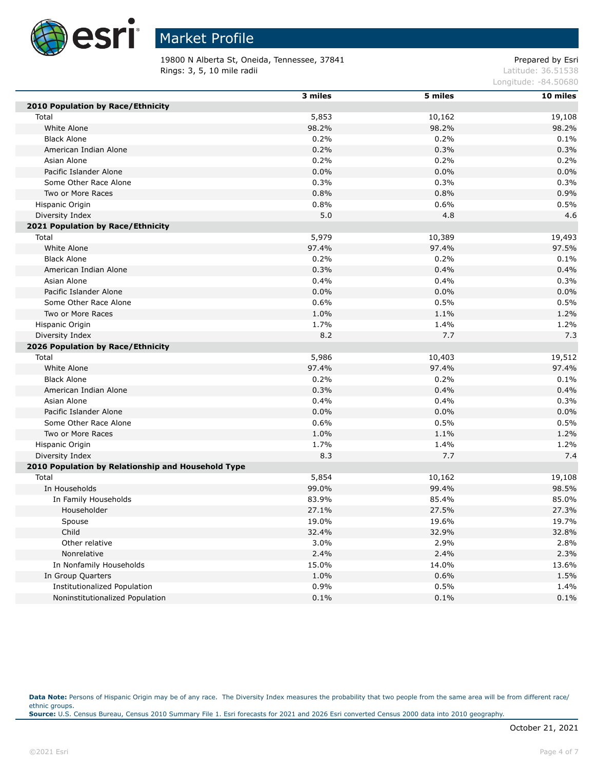

19800 N Alberta St, Oneida, Tennessee, 37841 **Prepared by Estimate Stepsier** Prepared by Esri **Rings: 3, 5, 10 mile radii** Latitude: 36.51538

Longitude: -84.50680

|                                                    | 3 miles | 5 miles | 10 miles |
|----------------------------------------------------|---------|---------|----------|
| 2010 Population by Race/Ethnicity                  |         |         |          |
| Total                                              | 5,853   | 10,162  | 19,108   |
| White Alone                                        | 98.2%   | 98.2%   | 98.2%    |
| <b>Black Alone</b>                                 | 0.2%    | 0.2%    | 0.1%     |
| American Indian Alone                              | 0.2%    | 0.3%    | 0.3%     |
| Asian Alone                                        | 0.2%    | 0.2%    | 0.2%     |
| Pacific Islander Alone                             | 0.0%    | $0.0\%$ | 0.0%     |
| Some Other Race Alone                              | 0.3%    | 0.3%    | 0.3%     |
| Two or More Races                                  | 0.8%    | 0.8%    | 0.9%     |
| Hispanic Origin                                    | 0.8%    | 0.6%    | 0.5%     |
| Diversity Index                                    | 5.0     | 4.8     | 4.6      |
| 2021 Population by Race/Ethnicity                  |         |         |          |
| Total                                              | 5,979   | 10,389  | 19,493   |
| White Alone                                        | 97.4%   | 97.4%   | 97.5%    |
| <b>Black Alone</b>                                 | 0.2%    | 0.2%    | 0.1%     |
| American Indian Alone                              | 0.3%    | 0.4%    | 0.4%     |
| Asian Alone                                        | 0.4%    | 0.4%    | 0.3%     |
| Pacific Islander Alone                             | 0.0%    | 0.0%    | 0.0%     |
| Some Other Race Alone                              | 0.6%    | 0.5%    | 0.5%     |
| Two or More Races                                  | 1.0%    | 1.1%    | 1.2%     |
| Hispanic Origin                                    | 1.7%    | 1.4%    | 1.2%     |
| Diversity Index                                    | 8.2     | 7.7     | 7.3      |
| 2026 Population by Race/Ethnicity                  |         |         |          |
| Total                                              | 5,986   | 10,403  | 19,512   |
| White Alone                                        | 97.4%   | 97.4%   | 97.4%    |
| <b>Black Alone</b>                                 | 0.2%    | 0.2%    | 0.1%     |
| American Indian Alone                              | 0.3%    | 0.4%    | 0.4%     |
| Asian Alone                                        | 0.4%    | 0.4%    | 0.3%     |
| Pacific Islander Alone                             | 0.0%    | 0.0%    | 0.0%     |
| Some Other Race Alone                              | 0.6%    | 0.5%    | 0.5%     |
| Two or More Races                                  | 1.0%    | 1.1%    | 1.2%     |
| Hispanic Origin                                    | 1.7%    | 1.4%    | 1.2%     |
| Diversity Index                                    | 8.3     | 7.7     | 7.4      |
| 2010 Population by Relationship and Household Type |         |         |          |
| Total                                              | 5,854   | 10,162  | 19,108   |
| In Households                                      | 99.0%   | 99.4%   | 98.5%    |
| In Family Households                               | 83.9%   | 85.4%   | 85.0%    |
| Householder                                        | 27.1%   | 27.5%   | 27.3%    |
| Spouse                                             | 19.0%   | 19.6%   | 19.7%    |
| Child                                              | 32.4%   | 32.9%   | 32.8%    |
| Other relative                                     | 3.0%    | 2.9%    | 2.8%     |
| Nonrelative                                        | 2.4%    | 2.4%    | 2.3%     |
| In Nonfamily Households                            | 15.0%   | 14.0%   | 13.6%    |
| In Group Quarters                                  | 1.0%    | 0.6%    | 1.5%     |
| <b>Institutionalized Population</b>                | 0.9%    | 0.5%    | 1.4%     |
| Noninstitutionalized Population                    | 0.1%    | 0.1%    | 0.1%     |

Data Note: Persons of Hispanic Origin may be of any race. The Diversity Index measures the probability that two people from the same area will be from different race/ ethnic groups. **Source:** U.S. Census Bureau, Census 2010 Summary File 1. Esri forecasts for 2021 and 2026 Esri converted Census 2000 data into 2010 geography.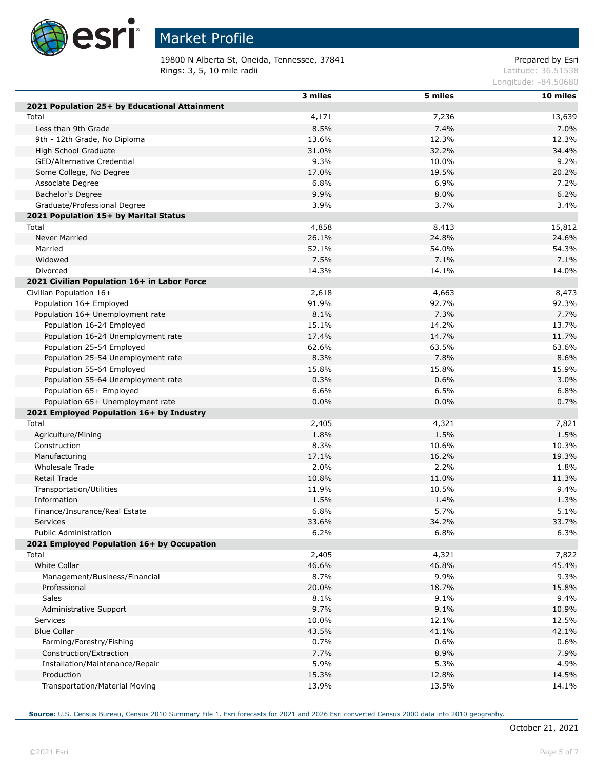

19800 N Alberta St, Oneida, Tennessee, 37841 **Prepared by Estimate Stepsier** Prepared by Esri Rings: 3, 5, 10 mile radii and the results of the contract of the contract of the contract of the contract of the contract of the contract of the contract of the contract of the contract of the contract of the contract of

Longitude: -84.50680

|                                               | 3 miles | 5 miles | 10 miles |
|-----------------------------------------------|---------|---------|----------|
| 2021 Population 25+ by Educational Attainment |         |         |          |
| Total                                         | 4,171   | 7,236   | 13,639   |
| Less than 9th Grade                           | 8.5%    | 7.4%    | 7.0%     |
| 9th - 12th Grade, No Diploma                  | 13.6%   | 12.3%   | 12.3%    |
| High School Graduate                          | 31.0%   | 32.2%   | 34.4%    |
| GED/Alternative Credential                    | 9.3%    | 10.0%   | 9.2%     |
|                                               | 17.0%   | 19.5%   | 20.2%    |
| Some College, No Degree<br>Associate Degree   | 6.8%    | 6.9%    |          |
|                                               |         |         | 7.2%     |
| Bachelor's Degree                             | 9.9%    | 8.0%    | 6.2%     |
| Graduate/Professional Degree                  | 3.9%    | 3.7%    | 3.4%     |
| 2021 Population 15+ by Marital Status         |         |         |          |
| Total                                         | 4,858   | 8,413   | 15,812   |
| Never Married                                 | 26.1%   | 24.8%   | 24.6%    |
| Married                                       | 52.1%   | 54.0%   | 54.3%    |
| Widowed                                       | 7.5%    | 7.1%    | 7.1%     |
| Divorced                                      | 14.3%   | 14.1%   | 14.0%    |
| 2021 Civilian Population 16+ in Labor Force   |         |         |          |
| Civilian Population 16+                       | 2,618   | 4,663   | 8,473    |
| Population 16+ Employed                       | 91.9%   | 92.7%   | 92.3%    |
| Population 16+ Unemployment rate              | 8.1%    | 7.3%    | 7.7%     |
| Population 16-24 Employed                     | 15.1%   | 14.2%   | 13.7%    |
| Population 16-24 Unemployment rate            | 17.4%   | 14.7%   | 11.7%    |
| Population 25-54 Employed                     | 62.6%   | 63.5%   | 63.6%    |
| Population 25-54 Unemployment rate            | 8.3%    | 7.8%    | 8.6%     |
| Population 55-64 Employed                     | 15.8%   | 15.8%   | 15.9%    |
| Population 55-64 Unemployment rate            | 0.3%    | 0.6%    | 3.0%     |
| Population 65+ Employed                       | 6.6%    | 6.5%    | 6.8%     |
| Population 65+ Unemployment rate              | 0.0%    | 0.0%    | 0.7%     |
| 2021 Employed Population 16+ by Industry      |         |         |          |
| Total                                         | 2,405   | 4,321   | 7,821    |
| Agriculture/Mining                            | 1.8%    | 1.5%    | 1.5%     |
| Construction                                  | 8.3%    | 10.6%   | 10.3%    |
| Manufacturing                                 | 17.1%   | 16.2%   | 19.3%    |
| Wholesale Trade                               | 2.0%    | 2.2%    | 1.8%     |
| Retail Trade                                  | 10.8%   | 11.0%   | 11.3%    |
| Transportation/Utilities                      | 11.9%   | 10.5%   | 9.4%     |
| Information                                   | 1.5%    | 1.4%    | 1.3%     |
| Finance/Insurance/Real Estate                 | 6.8%    | 5.7%    | 5.1%     |
| Services                                      | 33.6%   | 34.2%   | 33.7%    |
| Public Administration                         | 6.2%    | 6.8%    | 6.3%     |
| 2021 Employed Population 16+ by Occupation    |         |         |          |
| Total                                         | 2,405   | 4,321   | 7,822    |
| White Collar                                  | 46.6%   | 46.8%   | 45.4%    |
| Management/Business/Financial                 | 8.7%    | 9.9%    | 9.3%     |
| Professional                                  | 20.0%   | 18.7%   | 15.8%    |
| <b>Sales</b>                                  | 8.1%    | 9.1%    | 9.4%     |
| Administrative Support                        | 9.7%    | 9.1%    | 10.9%    |
|                                               |         |         | 12.5%    |
| <b>Services</b><br><b>Blue Collar</b>         | 10.0%   | 12.1%   |          |
|                                               | 43.5%   | 41.1%   | 42.1%    |
| Farming/Forestry/Fishing                      | 0.7%    | 0.6%    | 0.6%     |
| Construction/Extraction                       | 7.7%    | 8.9%    | 7.9%     |
| Installation/Maintenance/Repair               | 5.9%    | 5.3%    | 4.9%     |
| Production                                    | 15.3%   | 12.8%   | 14.5%    |
| Transportation/Material Moving                | 13.9%   | 13.5%   | 14.1%    |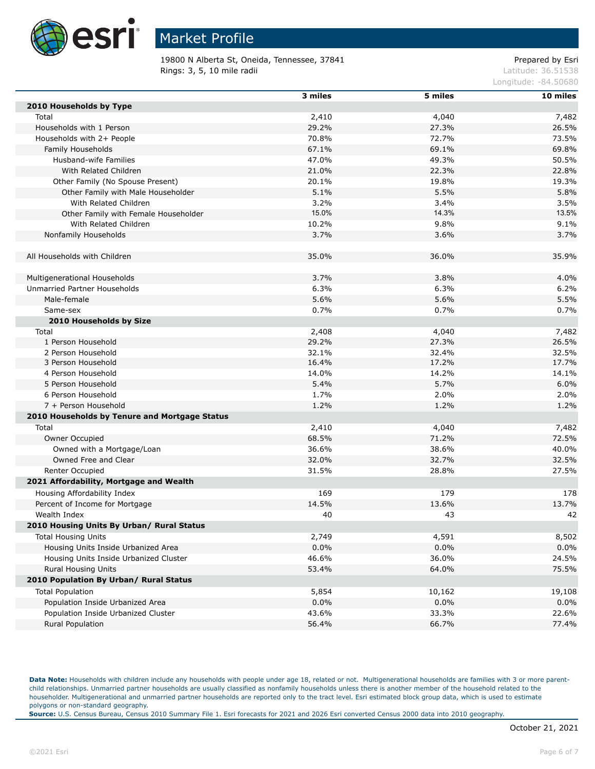

19800 N Alberta St, Oneida, Tennessee, 37841 Prepared by Esri **Rings: 3, 5, 10 mile radii** Latitude: 36.51538

Longitude: -84.50680

|                                                           | 3 miles | 5 miles | 10 miles     |
|-----------------------------------------------------------|---------|---------|--------------|
| 2010 Households by Type                                   |         |         |              |
| Total                                                     | 2,410   | 4,040   | 7,482        |
| Households with 1 Person                                  | 29.2%   | 27.3%   | 26.5%        |
| Households with 2+ People                                 | 70.8%   | 72.7%   | 73.5%        |
| Family Households                                         | 67.1%   | 69.1%   | 69.8%        |
| Husband-wife Families                                     | 47.0%   | 49.3%   | 50.5%        |
| With Related Children                                     | 21.0%   | 22.3%   | 22.8%        |
| Other Family (No Spouse Present)                          | 20.1%   | 19.8%   | 19.3%        |
| Other Family with Male Householder                        | 5.1%    | 5.5%    | 5.8%         |
| With Related Children                                     | 3.2%    | 3.4%    | 3.5%         |
| Other Family with Female Householder                      | 15.0%   | 14.3%   | 13.5%        |
| With Related Children                                     | 10.2%   | 9.8%    | 9.1%         |
| Nonfamily Households                                      | 3.7%    | 3.6%    | 3.7%         |
|                                                           |         |         |              |
| All Households with Children                              | 35.0%   | 36.0%   | 35.9%        |
|                                                           |         |         |              |
| Multigenerational Households                              | 3.7%    | 3.8%    | 4.0%         |
| Unmarried Partner Households                              | 6.3%    | 6.3%    | 6.2%         |
| Male-female                                               | 5.6%    | 5.6%    | 5.5%         |
| Same-sex                                                  | 0.7%    | 0.7%    | 0.7%         |
| 2010 Households by Size                                   |         |         |              |
| Total                                                     | 2,408   | 4,040   | 7,482        |
| 1 Person Household                                        | 29.2%   | 27.3%   | 26.5%        |
| 2 Person Household                                        | 32.1%   | 32.4%   | 32.5%        |
| 3 Person Household                                        | 16.4%   | 17.2%   | 17.7%        |
| 4 Person Household                                        | 14.0%   | 14.2%   | 14.1%        |
| 5 Person Household                                        | 5.4%    | 5.7%    | 6.0%         |
| 6 Person Household                                        | 1.7%    | 2.0%    | 2.0%         |
| 7 + Person Household                                      | 1.2%    | 1.2%    | 1.2%         |
| 2010 Households by Tenure and Mortgage Status             |         |         |              |
| Total                                                     | 2,410   | 4,040   | 7,482        |
| Owner Occupied                                            | 68.5%   | 71.2%   | 72.5%        |
| Owned with a Mortgage/Loan                                | 36.6%   | 38.6%   | 40.0%        |
| Owned Free and Clear                                      | 32.0%   | 32.7%   | 32.5%        |
| Renter Occupied                                           | 31.5%   | 28.8%   | 27.5%        |
| 2021 Affordability, Mortgage and Wealth                   |         |         |              |
|                                                           | 169     | 179     |              |
| Housing Affordability Index                               | 14.5%   | 13.6%   | 178<br>13.7% |
| Percent of Income for Mortgage                            |         |         |              |
| Wealth Index<br>2010 Housing Units By Urban/ Rural Status | 40      | 43      | 42           |
|                                                           |         |         |              |
| <b>Total Housing Units</b>                                | 2,749   | 4,591   | 8,502        |
| Housing Units Inside Urbanized Area                       | 0.0%    | 0.0%    | 0.0%         |
| Housing Units Inside Urbanized Cluster                    | 46.6%   | 36.0%   | 24.5%        |
| Rural Housing Units                                       | 53.4%   | 64.0%   | 75.5%        |
| 2010 Population By Urban/ Rural Status                    |         |         |              |
| <b>Total Population</b>                                   | 5,854   | 10,162  | 19,108       |
| Population Inside Urbanized Area                          | 0.0%    | $0.0\%$ | 0.0%         |
| Population Inside Urbanized Cluster                       | 43.6%   | 33.3%   | 22.6%        |
| Rural Population                                          | 56.4%   | 66.7%   | 77.4%        |

Data Note: Households with children include any households with people under age 18, related or not. Multigenerational households are families with 3 or more parentchild relationships. Unmarried partner households are usually classified as nonfamily households unless there is another member of the household related to the householder. Multigenerational and unmarried partner households are reported only to the tract level. Esri estimated block group data, which is used to estimate polygons or non-standard geography.